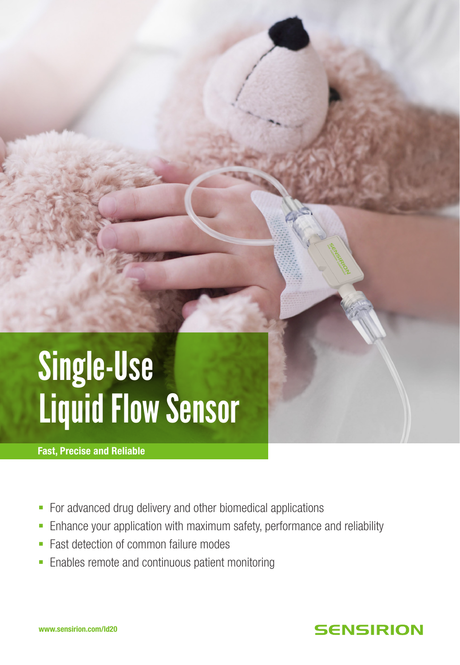# Single-Use Liquid Flow Sensor

Fast, Precise and Reliable

- For advanced drug delivery and other biomedical applications
- **Enhance your application with maximum safety, performance and reliability**
- Fast detection of common failure modes
- Enables remote and continuous patient monitoring

## **SENSIRION**